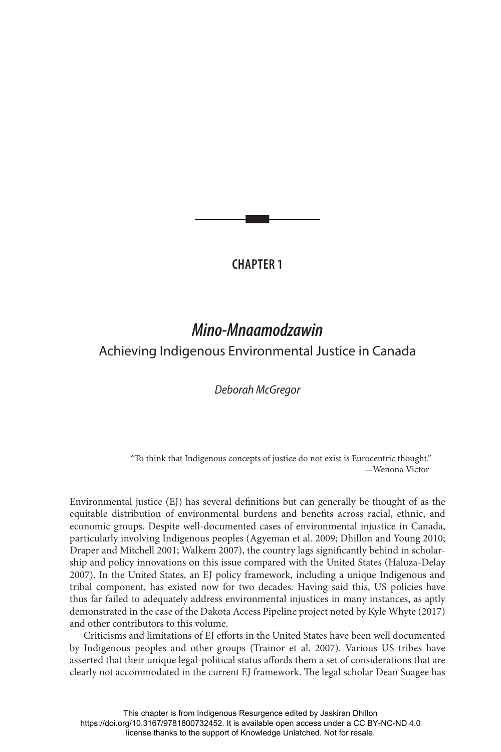

# **CHAPTER 1**

# *Mino-Mnaamodzawin* Achieving Indigenous Environmental Justice in Canada

## *Deborah McGregor*

"To think that Indigenous concepts of justice do not exist is Eurocentric thought." —Wenona Victor

Environmental justice (EJ) has several definitions but can generally be thought of as the equitable distribution of environmental burdens and benefits across racial, ethnic, and economic groups. Despite well-documented cases of environmental injustice in Canada, particularly involving Indigenous peoples (Agyeman et al. 2009; Dhillon and Young 2010; Draper and Mitchell 2001; Walkem 2007), the country lags significantly behind in scholarship and policy innovations on this issue compared with the United States (Haluza-Delay 2007). In the United States, an EJ policy framework, including a unique Indigenous and tribal component, has existed now for two decades. Having said this, US policies have thus far failed to adequately address environmental injustices in many instances, as aptly demonstrated in the case of the Dakota Access Pipeline project noted by Kyle Whyte (2017) and other contributors to this volume.

Criticisms and limitations of EJ efforts in the United States have been well documented by Indigenous peoples and other groups (Trainor et al. 2007). Various US tribes have asserted that their unique legal-political status affords them a set of considerations that are clearly not accommodated in the current EJ framework. The legal scholar Dean Suagee has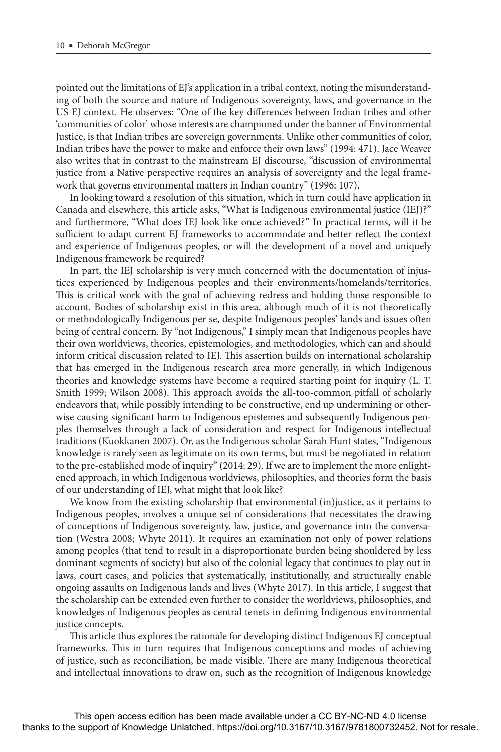pointed out the limitations of EJ's application in a tribal context, noting the misunderstanding of both the source and nature of Indigenous sovereignty, laws, and governance in the US EJ context. He observes: "One of the key differences between Indian tribes and other 'communities of color' whose interests are championed under the banner of Environmental Justice, is that Indian tribes are sovereign governments. Unlike other communities of color, Indian tribes have the power to make and enforce their own laws" (1994: 471). Jace Weaver also writes that in contrast to the mainstream EJ discourse, "discussion of environmental justice from a Native perspective requires an analysis of sovereignty and the legal framework that governs environmental matters in Indian country" (1996: 107).

In looking toward a resolution of this situation, which in turn could have application in Canada and elsewhere, this article asks, "What is Indigenous environmental justice (IEJ)?" and furthermore, "What does IEJ look like once achieved?" In practical terms, will it be sufficient to adapt current EJ frameworks to accommodate and better reflect the context and experience of Indigenous peoples, or will the development of a novel and uniquely Indigenous framework be required?

In part, the IEJ scholarship is very much concerned with the documentation of injustices experienced by Indigenous peoples and their environments/homelands/territories. This is critical work with the goal of achieving redress and holding those responsible to account. Bodies of scholarship exist in this area, although much of it is not theoretically or methodologically Indigenous per se, despite Indigenous peoples' lands and issues often being of central concern. By "not Indigenous," I simply mean that Indigenous peoples have their own worldviews, theories, epistemologies, and methodologies, which can and should inform critical discussion related to IEJ. This assertion builds on international scholarship that has emerged in the Indigenous research area more generally, in which Indigenous theories and knowledge systems have become a required starting point for inquiry (L. T. Smith 1999; Wilson 2008). This approach avoids the all-too-common pitfall of scholarly endeavors that, while possibly intending to be constructive, end up undermining or otherwise causing significant harm to Indigenous epistemes and subsequently Indigenous peoples themselves through a lack of consideration and respect for Indigenous intellectual traditions (Kuokkanen 2007). Or, as the Indigenous scholar Sarah Hunt states, "Indigenous knowledge is rarely seen as legitimate on its own terms, but must be negotiated in relation to the pre-established mode of inquiry" (2014: 29). If we are to implement the more enlightened approach, in which Indigenous worldviews, philosophies, and theories form the basis of our understanding of IEJ, what might that look like?

We know from the existing scholarship that environmental (in)justice, as it pertains to Indigenous peoples, involves a unique set of considerations that necessitates the drawing of conceptions of Indigenous sovereignty, law, justice, and governance into the conversation (Westra 2008; Whyte 2011). It requires an examination not only of power relations among peoples (that tend to result in a disproportionate burden being shouldered by less dominant segments of society) but also of the colonial legacy that continues to play out in laws, court cases, and policies that systematically, institutionally, and structurally enable ongoing assaults on Indigenous lands and lives (Whyte 2017). In this article, I suggest that the scholarship can be extended even further to consider the worldviews, philosophies, and knowledges of Indigenous peoples as central tenets in defining Indigenous environmental justice concepts.

This article thus explores the rationale for developing distinct Indigenous EJ conceptual frameworks. This in turn requires that Indigenous conceptions and modes of achieving of justice, such as reconciliation, be made visible. There are many Indigenous theoretical and intellectual innovations to draw on, such as the recognition of Indigenous knowledge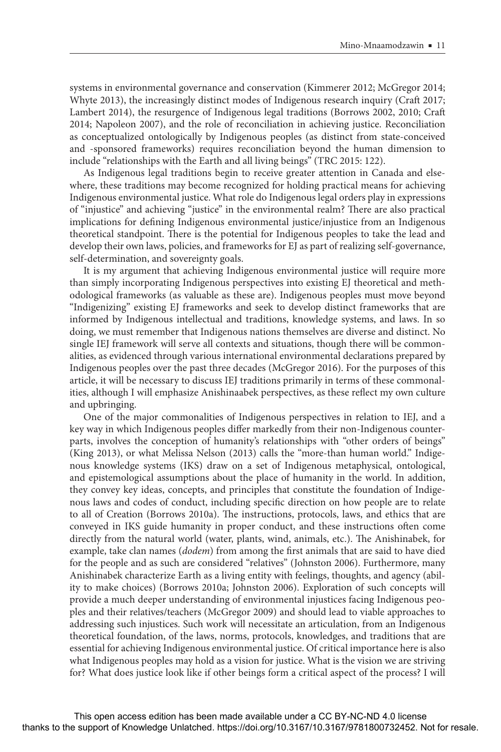systems in environmental governance and conservation (Kimmerer 2012; McGregor 2014; Whyte 2013), the increasingly distinct modes of Indigenous research inquiry (Craft 2017; Lambert 2014), the resurgence of Indigenous legal traditions (Borrows 2002, 2010; Craft 2014; Napoleon 2007), and the role of reconciliation in achieving justice. Reconciliation as conceptualized ontologically by Indigenous peoples (as distinct from state-conceived and -sponsored frameworks) requires reconciliation beyond the human dimension to include "relationships with the Earth and all living beings" (TRC 2015: 122).

As Indigenous legal traditions begin to receive greater attention in Canada and elsewhere, these traditions may become recognized for holding practical means for achieving Indigenous environmental justice. What role do Indigenous legal orders play in expressions of "injustice" and achieving "justice" in the environmental realm? There are also practical implications for defining Indigenous environmental justice/injustice from an Indigenous theoretical standpoint. There is the potential for Indigenous peoples to take the lead and develop their own laws, policies, and frameworks for EJ as part of realizing self-governance, self-determination, and sovereignty goals.

It is my argument that achieving Indigenous environmental justice will require more than simply incorporating Indigenous perspectives into existing EJ theoretical and methodological frameworks (as valuable as these are). Indigenous peoples must move beyond "Indigenizing" existing EJ frameworks and seek to develop distinct frameworks that are informed by Indigenous intellectual and traditions, knowledge systems, and laws. In so doing, we must remember that Indigenous nations themselves are diverse and distinct. No single IEJ framework will serve all contexts and situations, though there will be commonalities, as evidenced through various international environmental declarations prepared by Indigenous peoples over the past three decades (McGregor 2016). For the purposes of this article, it will be necessary to discuss IEJ traditions primarily in terms of these commonalities, although I will emphasize Anishinaabek perspectives, as these reflect my own culture and upbringing.

One of the major commonalities of Indigenous perspectives in relation to IEJ, and a key way in which Indigenous peoples differ markedly from their non-Indigenous counterparts, involves the conception of humanity's relationships with "other orders of beings" (King 2013), or what Melissa Nelson (2013) calls the "more-than human world." Indigenous knowledge systems (IKS) draw on a set of Indigenous metaphysical, ontological, and epistemological assumptions about the place of humanity in the world. In addition, they convey key ideas, concepts, and principles that constitute the foundation of Indigenous laws and codes of conduct, including specific direction on how people are to relate to all of Creation (Borrows 2010a). The instructions, protocols, laws, and ethics that are conveyed in IKS guide humanity in proper conduct, and these instructions often come directly from the natural world (water, plants, wind, animals, etc.). The Anishinabek, for example, take clan names (*dodem*) from among the first animals that are said to have died for the people and as such are considered "relatives" (Johnston 2006). Furthermore, many Anishinabek characterize Earth as a living entity with feelings, thoughts, and agency (ability to make choices) (Borrows 2010a; Johnston 2006). Exploration of such concepts will provide a much deeper understanding of environmental injustices facing Indigenous peoples and their relatives/teachers (McGregor 2009) and should lead to viable approaches to addressing such injustices. Such work will necessitate an articulation, from an Indigenous theoretical foundation, of the laws, norms, protocols, knowledges, and traditions that are essential for achieving Indigenous environmental justice. Of critical importance here is also what Indigenous peoples may hold as a vision for justice. What is the vision we are striving for? What does justice look like if other beings form a critical aspect of the process? I will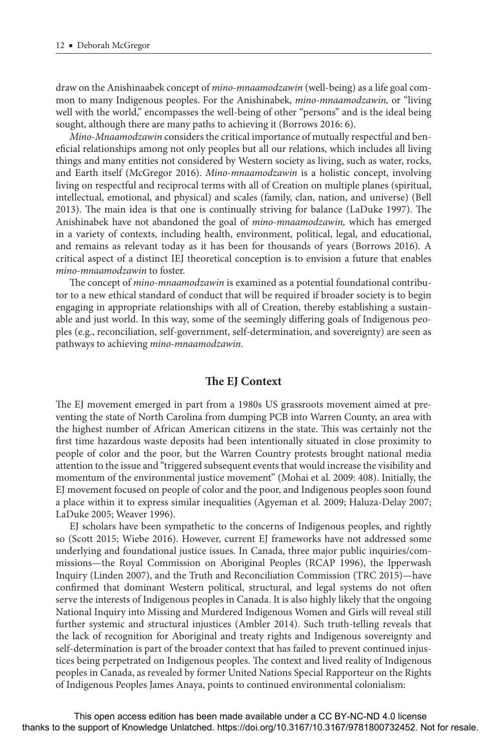draw on the Anishinaabek concept of *mino-mnaamodzawin* (well-being) as a life goal common to many Indigenous peoples. For the Anishinabek, *mino-mnaamodzawin,* or "living well with the world," encompasses the well-being of other "persons" and is the ideal being sought, although there are many paths to achieving it (Borrows 2016: 6).

*Mino-Mnaamodzawin* considers the critical importance of mutually respectful and beneficial relationships among not only peoples but all our relations, which includes all living things and many entities not considered by Western society as living, such as water, rocks, and Earth itself (McGregor 2016). *Mino-mnaamodzawin* is a holistic concept, involving living on respectful and reciprocal terms with all of Creation on multiple planes (spiritual, intellectual, emotional, and physical) and scales (family, clan, nation, and universe) (Bell 2013). The main idea is that one is continually striving for balance (LaDuke 1997). The Anishinabek have not abandoned the goal of *mino-mnaamodzawin,* which has emerged in a variety of contexts, including health, environment, political, legal, and educational, and remains as relevant today as it has been for thousands of years (Borrows 2016). A critical aspect of a distinct IEJ theoretical conception is to envision a future that enables *mino-mnaamodzawin* to foster.

The concept of *mino-mnaamodzawin* is examined as a potential foundational contributor to a new ethical standard of conduct that will be required if broader society is to begin engaging in appropriate relationships with all of Creation, thereby establishing a sustainable and just world. In this way, some of the seemingly differing goals of Indigenous peoples (e.g., reconciliation, self-government, self-determination, and sovereignty) are seen as pathways to achieving *mino-mnaamodzawin.*

### **The EJ Context**

The EJ movement emerged in part from a 1980s US grassroots movement aimed at preventing the state of North Carolina from dumping PCB into Warren County, an area with the highest number of African American citizens in the state. This was certainly not the first time hazardous waste deposits had been intentionally situated in close proximity to people of color and the poor, but the Warren Country protests brought national media attention to the issue and "triggered subsequent events that would increase the visibility and momentum of the environmental justice movement" (Mohai et al. 2009: 408). Initially, the EJ movement focused on people of color and the poor, and Indigenous peoples soon found a place within it to express similar inequalities (Agyeman et al. 2009; Haluza-Delay 2007; LaDuke 2005; Weaver 1996).

EJ scholars have been sympathetic to the concerns of Indigenous peoples, and rightly so (Scott 2015; Wiebe 2016). However, current EJ frameworks have not addressed some underlying and foundational justice issues. In Canada, three major public inquiries/commissions—the Royal Commission on Aboriginal Peoples (RCAP 1996), the Ipperwash Inquiry (Linden 2007), and the Truth and Reconciliation Commission (TRC 2015)—have confirmed that dominant Western political, structural, and legal systems do not often serve the interests of Indigenous peoples in Canada. It is also highly likely that the ongoing National Inquiry into Missing and Murdered Indigenous Women and Girls will reveal still further systemic and structural injustices (Ambler 2014). Such truth-telling reveals that the lack of recognition for Aboriginal and treaty rights and Indigenous sovereignty and self-determination is part of the broader context that has failed to prevent continued injustices being perpetrated on Indigenous peoples. The context and lived reality of Indigenous peoples in Canada, as revealed by former United Nations Special Rapporteur on the Rights of Indigenous Peoples James Anaya, points to continued environmental colonialism: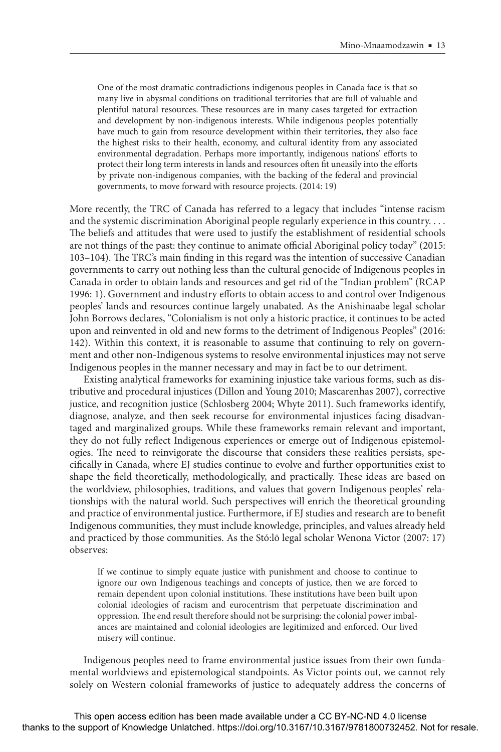One of the most dramatic contradictions indigenous peoples in Canada face is that so many live in abysmal conditions on traditional territories that are full of valuable and plentiful natural resources. These resources are in many cases targeted for extraction and development by non-indigenous interests. While indigenous peoples potentially have much to gain from resource development within their territories, they also face the highest risks to their health, economy, and cultural identity from any associated environmental degradation. Perhaps more importantly, indigenous nations' efforts to protect their long term interests in lands and resources often fit uneasily into the efforts by private non-indigenous companies, with the backing of the federal and provincial governments, to move forward with resource projects. (2014: 19)

More recently, the TRC of Canada has referred to a legacy that includes "intense racism and the systemic discrimination Aboriginal people regularly experience in this country. . . . The beliefs and attitudes that were used to justify the establishment of residential schools are not things of the past: they continue to animate official Aboriginal policy today" (2015: 103–104). The TRC's main finding in this regard was the intention of successive Canadian governments to carry out nothing less than the cultural genocide of Indigenous peoples in Canada in order to obtain lands and resources and get rid of the "Indian problem" (RCAP 1996: 1). Government and industry efforts to obtain access to and control over Indigenous peoples' lands and resources continue largely unabated. As the Anishinaabe legal scholar John Borrows declares, "Colonialism is not only a historic practice, it continues to be acted upon and reinvented in old and new forms to the detriment of Indigenous Peoples" (2016: 142). Within this context, it is reasonable to assume that continuing to rely on government and other non-Indigenous systems to resolve environmental injustices may not serve Indigenous peoples in the manner necessary and may in fact be to our detriment.

Existing analytical frameworks for examining injustice take various forms, such as distributive and procedural injustices (Dillon and Young 2010; Mascarenhas 2007), corrective justice, and recognition justice (Schlosberg 2004; Whyte 2011). Such frameworks identify, diagnose, analyze, and then seek recourse for environmental injustices facing disadvantaged and marginalized groups. While these frameworks remain relevant and important, they do not fully reflect Indigenous experiences or emerge out of Indigenous epistemologies. The need to reinvigorate the discourse that considers these realities persists, specifically in Canada, where EJ studies continue to evolve and further opportunities exist to shape the field theoretically, methodologically, and practically. These ideas are based on the worldview, philosophies, traditions, and values that govern Indigenous peoples' relationships with the natural world. Such perspectives will enrich the theoretical grounding and practice of environmental justice. Furthermore, if EJ studies and research are to benefit Indigenous communities, they must include knowledge, principles, and values already held and practiced by those communities. As the Stó:lō legal scholar Wenona Victor (2007: 17) observes:

If we continue to simply equate justice with punishment and choose to continue to ignore our own Indigenous teachings and concepts of justice, then we are forced to remain dependent upon colonial institutions. These institutions have been built upon colonial ideologies of racism and eurocentrism that perpetuate discrimination and oppression. The end result therefore should not be surprising: the colonial power imbalances are maintained and colonial ideologies are legitimized and enforced. Our lived misery will continue.

Indigenous peoples need to frame environmental justice issues from their own fundamental worldviews and epistemological standpoints. As Victor points out, we cannot rely solely on Western colonial frameworks of justice to adequately address the concerns of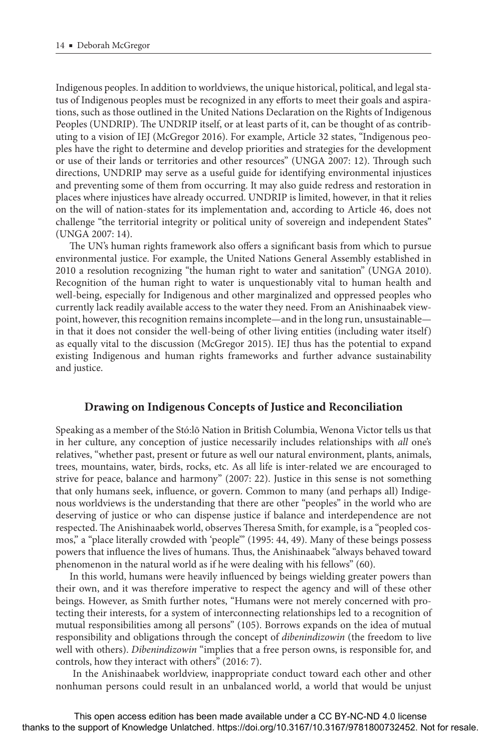Indigenous peoples. In addition to worldviews, the unique historical, political, and legal status of Indigenous peoples must be recognized in any efforts to meet their goals and aspirations, such as those outlined in the United Nations Declaration on the Rights of Indigenous Peoples (UNDRIP). The UNDRIP itself, or at least parts of it, can be thought of as contributing to a vision of IEJ (McGregor 2016). For example, Article 32 states, "Indigenous peoples have the right to determine and develop priorities and strategies for the development or use of their lands or territories and other resources" (UNGA 2007: 12). Through such directions, UNDRIP may serve as a useful guide for identifying environmental injustices and preventing some of them from occurring. It may also guide redress and restoration in places where injustices have already occurred. UNDRIP is limited, however, in that it relies on the will of nation-states for its implementation and, according to Article 46, does not challenge "the territorial integrity or political unity of sovereign and independent States" (UNGA 2007: 14).

The UN's human rights framework also offers a significant basis from which to pursue environmental justice. For example, the United Nations General Assembly established in 2010 a resolution recognizing "the human right to water and sanitation" (UNGA 2010). Recognition of the human right to water is unquestionably vital to human health and well-being, especially for Indigenous and other marginalized and oppressed peoples who currently lack readily available access to the water they need. From an Anishinaabek viewpoint, however, this recognition remains incomplete—and in the long run, unsustainable in that it does not consider the well-being of other living entities (including water itself) as equally vital to the discussion (McGregor 2015). IEJ thus has the potential to expand existing Indigenous and human rights frameworks and further advance sustainability and justice.

#### **Drawing on Indigenous Concepts of Justice and Reconciliation**

Speaking as a member of the Stó:lō Nation in British Columbia, Wenona Victor tells us that in her culture, any conception of justice necessarily includes relationships with *all* one's relatives, "whether past, present or future as well our natural environment, plants, animals, trees, mountains, water, birds, rocks, etc. As all life is inter-related we are encouraged to strive for peace, balance and harmony" (2007: 22). Justice in this sense is not something that only humans seek, influence, or govern. Common to many (and perhaps all) Indigenous worldviews is the understanding that there are other "peoples" in the world who are deserving of justice or who can dispense justice if balance and interdependence are not respected. The Anishinaabek world, observes Theresa Smith, for example, is a "peopled cosmos," a "place literally crowded with 'people'" (1995: 44, 49). Many of these beings possess powers that influence the lives of humans. Thus, the Anishinaabek "always behaved toward phenomenon in the natural world as if he were dealing with his fellows" (60).

In this world, humans were heavily influenced by beings wielding greater powers than their own, and it was therefore imperative to respect the agency and will of these other beings. However, as Smith further notes, "Humans were not merely concerned with protecting their interests, for a system of interconnecting relationships led to a recognition of mutual responsibilities among all persons" (105). Borrows expands on the idea of mutual responsibility and obligations through the concept of *dibenindizowin* (the freedom to live well with others). *Dibenindizowin* "implies that a free person owns, is responsible for, and controls, how they interact with others" (2016: 7).

 In the Anishinaabek worldview, inappropriate conduct toward each other and other nonhuman persons could result in an unbalanced world, a world that would be unjust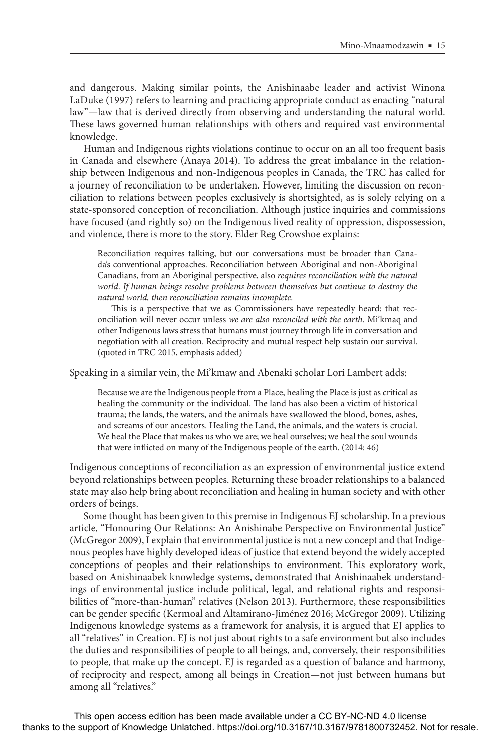and dangerous. Making similar points, the Anishinaabe leader and activist Winona LaDuke (1997) refers to learning and practicing appropriate conduct as enacting "natural law"—law that is derived directly from observing and understanding the natural world. These laws governed human relationships with others and required vast environmental knowledge.

Human and Indigenous rights violations continue to occur on an all too frequent basis in Canada and elsewhere (Anaya 2014). To address the great imbalance in the relationship between Indigenous and non-Indigenous peoples in Canada, the TRC has called for a journey of reconciliation to be undertaken. However, limiting the discussion on reconciliation to relations between peoples exclusively is shortsighted, as is solely relying on a state-sponsored conception of reconciliation. Although justice inquiries and commissions have focused (and rightly so) on the Indigenous lived reality of oppression, dispossession, and violence, there is more to the story. Elder Reg Crowshoe explains:

Reconciliation requires talking, but our conversations must be broader than Canada's conventional approaches. Reconciliation between Aboriginal and non-Aboriginal Canadians, from an Aboriginal perspective, also *requires reconciliation with the natural world*. *If human beings resolve problems between themselves but continue to destroy the natural world, then reconciliation remains incomplete.*

This is a perspective that we as Commissioners have repeatedly heard: that reconciliation will never occur unless *we are also reconciled with the earth.* Mi'kmaq and other Indigenous laws stress that humans must journey through life in conversation and negotiation with all creation. Reciprocity and mutual respect help sustain our survival. (quoted in TRC 2015, emphasis added)

Speaking in a similar vein, the Mi'kmaw and Abenaki scholar Lori Lambert adds:

Because we are the Indigenous people from a Place, healing the Place is just as critical as healing the community or the individual. The land has also been a victim of historical trauma; the lands, the waters, and the animals have swallowed the blood, bones, ashes, and screams of our ancestors. Healing the Land, the animals, and the waters is crucial. We heal the Place that makes us who we are; we heal ourselves; we heal the soul wounds that were inflicted on many of the Indigenous people of the earth. (2014: 46)

Indigenous conceptions of reconciliation as an expression of environmental justice extend beyond relationships between peoples. Returning these broader relationships to a balanced state may also help bring about reconciliation and healing in human society and with other orders of beings.

Some thought has been given to this premise in Indigenous EJ scholarship. In a previous article, "Honouring Our Relations: An Anishinabe Perspective on Environmental Justice" (McGregor 2009), I explain that environmental justice is not a new concept and that Indigenous peoples have highly developed ideas of justice that extend beyond the widely accepted conceptions of peoples and their relationships to environment. This exploratory work, based on Anishinaabek knowledge systems, demonstrated that Anishinaabek understandings of environmental justice include political, legal, and relational rights and responsibilities of "more-than-human" relatives (Nelson 2013). Furthermore, these responsibilities can be gender specific (Kermoal and Altamirano-Jiménez 2016; McGregor 2009). Utilizing Indigenous knowledge systems as a framework for analysis, it is argued that EJ applies to all "relatives" in Creation. EJ is not just about rights to a safe environment but also includes the duties and responsibilities of people to all beings, and, conversely, their responsibilities to people, that make up the concept. EJ is regarded as a question of balance and harmony, of reciprocity and respect, among all beings in Creation—not just between humans but among all "relatives."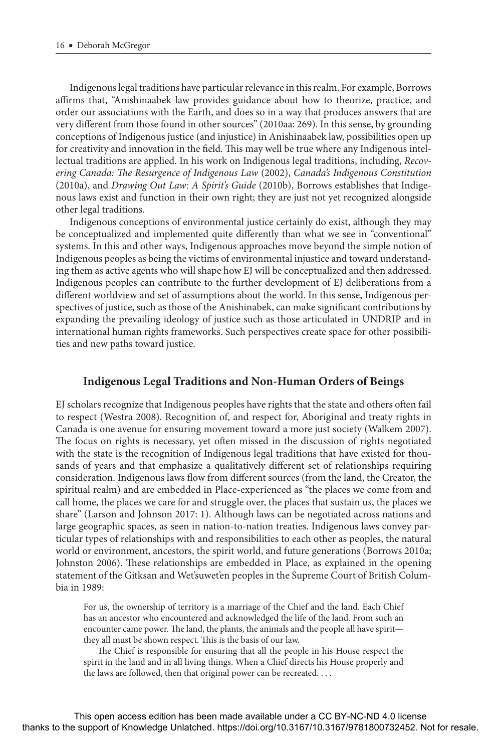Indigenous legal traditions have particular relevance in this realm. For example, Borrows affirms that, "Anishinaabek law provides guidance about how to theorize, practice, and order our associations with the Earth, and does so in a way that produces answers that are very different from those found in other sources" (2010aa: 269). In this sense, by grounding conceptions of Indigenous justice (and injustice) in Anishinaabek law, possibilities open up for creativity and innovation in the field. This may well be true where any Indigenous intellectual traditions are applied. In his work on Indigenous legal traditions, including, *Recovering Canada: The Resurgence of Indigenous Law* (2002), *Canada's Indigenous Constitution* (2010a), and *Drawing Out Law: A Spirit's Guide* (2010b), Borrows establishes that Indigenous laws exist and function in their own right; they are just not yet recognized alongside other legal traditions.

Indigenous conceptions of environmental justice certainly do exist, although they may be conceptualized and implemented quite differently than what we see in "conventional" systems. In this and other ways, Indigenous approaches move beyond the simple notion of Indigenous peoples as being the victims of environmental injustice and toward understanding them as active agents who will shape how EJ will be conceptualized and then addressed. Indigenous peoples can contribute to the further development of EJ deliberations from a different worldview and set of assumptions about the world. In this sense, Indigenous perspectives of justice, such as those of the Anishinabek, can make significant contributions by expanding the prevailing ideology of justice such as those articulated in UNDRIP and in international human rights frameworks. Such perspectives create space for other possibilities and new paths toward justice.

## **Indigenous Legal Traditions and Non-Human Orders of Beings**

EJ scholars recognize that Indigenous peoples have rights that the state and others often fail to respect (Westra 2008). Recognition of, and respect for, Aboriginal and treaty rights in Canada is one avenue for ensuring movement toward a more just society (Walkem 2007). The focus on rights is necessary, yet often missed in the discussion of rights negotiated with the state is the recognition of Indigenous legal traditions that have existed for thousands of years and that emphasize a qualitatively different set of relationships requiring consideration. Indigenous laws flow from different sources (from the land, the Creator, the spiritual realm) and are embedded in Place-experienced as "the places we come from and call home, the places we care for and struggle over, the places that sustain us, the places we share" (Larson and Johnson 2017: 1). Although laws can be negotiated across nations and large geographic spaces, as seen in nation-to-nation treaties. Indigenous laws convey particular types of relationships with and responsibilities to each other as peoples, the natural world or environment, ancestors, the spirit world, and future generations (Borrows 2010a; Johnston 2006). These relationships are embedded in Place, as explained in the opening statement of the Gitksan and Wet'suwet'en peoples in the Supreme Court of British Columbia in 1989:

For us, the ownership of territory is a marriage of the Chief and the land. Each Chief has an ancestor who encountered and acknowledged the life of the land. From such an encounter came power. The land, the plants, the animals and the people all have spirit they all must be shown respect. This is the basis of our law.

The Chief is responsible for ensuring that all the people in his House respect the spirit in the land and in all living things. When a Chief directs his House properly and the laws are followed, then that original power can be recreated. . . .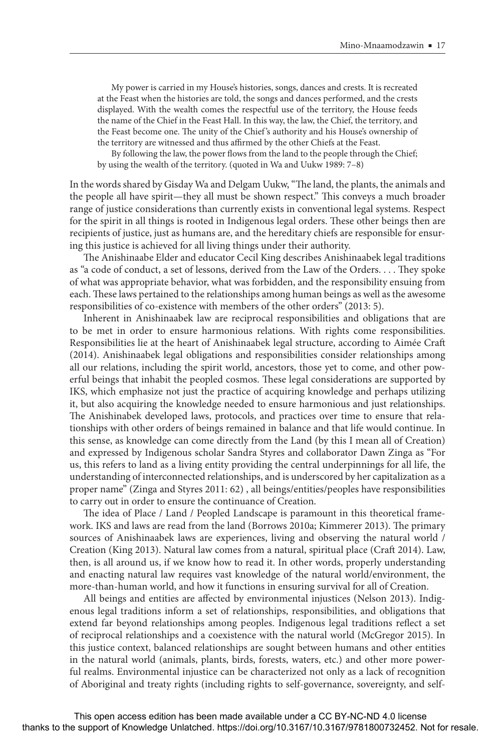My power is carried in my House's histories, songs, dances and crests. It is recreated at the Feast when the histories are told, the songs and dances performed, and the crests displayed. With the wealth comes the respectful use of the territory, the House feeds the name of the Chief in the Feast Hall. In this way, the law, the Chief, the territory, and the Feast become one. The unity of the Chief 's authority and his House's ownership of the territory are witnessed and thus affirmed by the other Chiefs at the Feast.

By following the law, the power flows from the land to the people through the Chief; by using the wealth of the territory. (quoted in Wa and Uukw 1989: 7–8)

In the words shared by Gisday Wa and Delgam Uukw, "The land, the plants, the animals and the people all have spirit—they all must be shown respect." This conveys a much broader range of justice considerations than currently exists in conventional legal systems. Respect for the spirit in all things is rooted in Indigenous legal orders. These other beings then are recipients of justice, just as humans are, and the hereditary chiefs are responsible for ensuring this justice is achieved for all living things under their authority.

The Anishinaabe Elder and educator Cecil King describes Anishinaabek legal traditions as "a code of conduct, a set of lessons, derived from the Law of the Orders. . . . They spoke of what was appropriate behavior, what was forbidden, and the responsibility ensuing from each. These laws pertained to the relationships among human beings as well as the awesome responsibilities of co-existence with members of the other orders" (2013: 5).

Inherent in Anishinaabek law are reciprocal responsibilities and obligations that are to be met in order to ensure harmonious relations. With rights come responsibilities. Responsibilities lie at the heart of Anishinaabek legal structure, according to Aimée Craft (2014). Anishinaabek legal obligations and responsibilities consider relationships among all our relations, including the spirit world, ancestors, those yet to come, and other powerful beings that inhabit the peopled cosmos. These legal considerations are supported by IKS, which emphasize not just the practice of acquiring knowledge and perhaps utilizing it, but also acquiring the knowledge needed to ensure harmonious and just relationships. The Anishinabek developed laws, protocols, and practices over time to ensure that relationships with other orders of beings remained in balance and that life would continue. In this sense, as knowledge can come directly from the Land (by this I mean all of Creation) and expressed by Indigenous scholar Sandra Styres and collaborator Dawn Zinga as "For us, this refers to land as a living entity providing the central underpinnings for all life, the understanding of interconnected relationships, and is underscored by her capitalization as a proper name" (Zinga and Styres 2011: 62) , all beings/entities/peoples have responsibilities to carry out in order to ensure the continuance of Creation.

The idea of Place / Land / Peopled Landscape is paramount in this theoretical framework. IKS and laws are read from the land (Borrows 2010a; Kimmerer 2013). The primary sources of Anishinaabek laws are experiences, living and observing the natural world / Creation (King 2013). Natural law comes from a natural, spiritual place (Craft 2014). Law, then, is all around us, if we know how to read it. In other words, properly understanding and enacting natural law requires vast knowledge of the natural world/environment, the more-than-human world, and how it functions in ensuring survival for all of Creation.

All beings and entities are affected by environmental injustices (Nelson 2013). Indigenous legal traditions inform a set of relationships, responsibilities, and obligations that extend far beyond relationships among peoples. Indigenous legal traditions reflect a set of reciprocal relationships and a coexistence with the natural world (McGregor 2015). In this justice context, balanced relationships are sought between humans and other entities in the natural world (animals, plants, birds, forests, waters, etc.) and other more powerful realms. Environmental injustice can be characterized not only as a lack of recognition of Aboriginal and treaty rights (including rights to self-governance, sovereignty, and self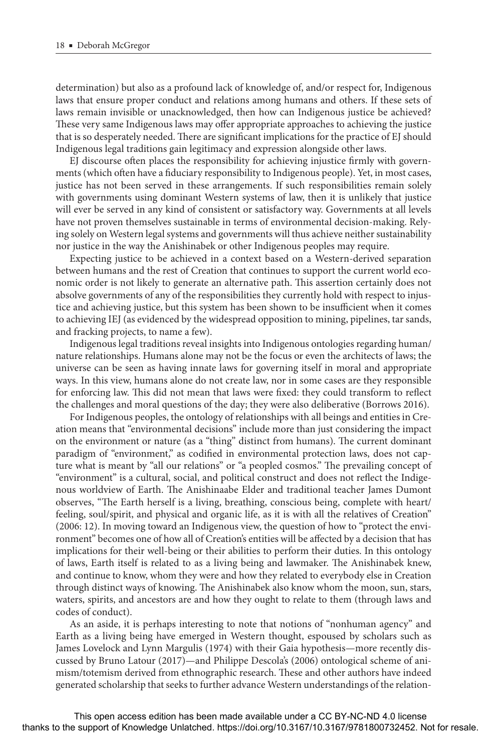determination) but also as a profound lack of knowledge of, and/or respect for, Indigenous laws that ensure proper conduct and relations among humans and others. If these sets of laws remain invisible or unacknowledged, then how can Indigenous justice be achieved? These very same Indigenous laws may offer appropriate approaches to achieving the justice that is so desperately needed. There are significant implications for the practice of EJ should Indigenous legal traditions gain legitimacy and expression alongside other laws.

EJ discourse often places the responsibility for achieving injustice firmly with governments (which often have a fiduciary responsibility to Indigenous people). Yet, in most cases, justice has not been served in these arrangements. If such responsibilities remain solely with governments using dominant Western systems of law, then it is unlikely that justice will ever be served in any kind of consistent or satisfactory way. Governments at all levels have not proven themselves sustainable in terms of environmental decision-making. Relying solely on Western legal systems and governments will thus achieve neither sustainability nor justice in the way the Anishinabek or other Indigenous peoples may require.

Expecting justice to be achieved in a context based on a Western-derived separation between humans and the rest of Creation that continues to support the current world economic order is not likely to generate an alternative path. This assertion certainly does not absolve governments of any of the responsibilities they currently hold with respect to injustice and achieving justice, but this system has been shown to be insufficient when it comes to achieving IEJ (as evidenced by the widespread opposition to mining, pipelines, tar sands, and fracking projects, to name a few).

Indigenous legal traditions reveal insights into Indigenous ontologies regarding human/ nature relationships. Humans alone may not be the focus or even the architects of laws; the universe can be seen as having innate laws for governing itself in moral and appropriate ways. In this view, humans alone do not create law, nor in some cases are they responsible for enforcing law. This did not mean that laws were fixed: they could transform to reflect the challenges and moral questions of the day; they were also deliberative (Borrows 2016).

For Indigenous peoples, the ontology of relationships with all beings and entities in Creation means that "environmental decisions" include more than just considering the impact on the environment or nature (as a "thing" distinct from humans). The current dominant paradigm of "environment," as codified in environmental protection laws, does not capture what is meant by "all our relations" or "a peopled cosmos." The prevailing concept of "environment" is a cultural, social, and political construct and does not reflect the Indigenous worldview of Earth. The Anishinaabe Elder and traditional teacher James Dumont observes, "The Earth herself is a living, breathing, conscious being, complete with heart/ feeling, soul/spirit, and physical and organic life, as it is with all the relatives of Creation" (2006: 12). In moving toward an Indigenous view, the question of how to "protect the environment" becomes one of how all of Creation's entities will be affected by a decision that has implications for their well-being or their abilities to perform their duties. In this ontology of laws, Earth itself is related to as a living being and lawmaker. The Anishinabek knew, and continue to know, whom they were and how they related to everybody else in Creation through distinct ways of knowing. The Anishinabek also know whom the moon, sun, stars, waters, spirits, and ancestors are and how they ought to relate to them (through laws and codes of conduct).

As an aside, it is perhaps interesting to note that notions of "nonhuman agency" and Earth as a living being have emerged in Western thought, espoused by scholars such as James Lovelock and Lynn Margulis (1974) with their Gaia hypothesis—more recently discussed by Bruno Latour (2017)—and Philippe Descola's (2006) ontological scheme of animism/totemism derived from ethnographic research. These and other authors have indeed generated scholarship that seeks to further advance Western understandings of the relation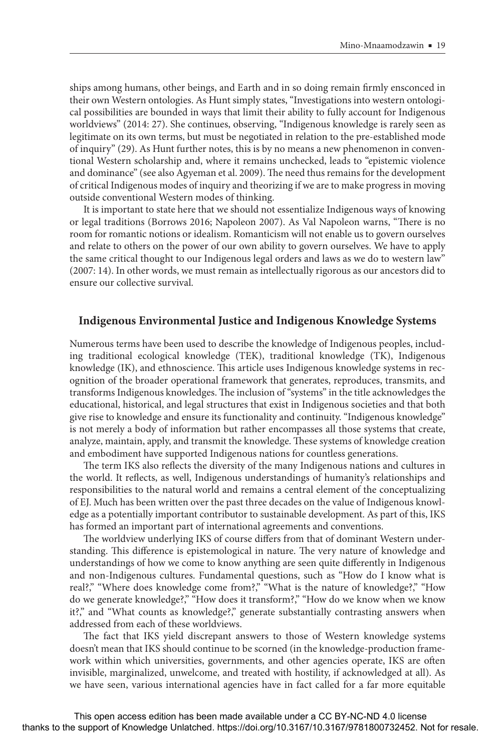ships among humans, other beings, and Earth and in so doing remain firmly ensconced in their own Western ontologies. As Hunt simply states, "Investigations into western ontological possibilities are bounded in ways that limit their ability to fully account for Indigenous worldviews" (2014: 27). She continues, observing, "Indigenous knowledge is rarely seen as legitimate on its own terms, but must be negotiated in relation to the pre-established mode of inquiry" (29). As Hunt further notes, this is by no means a new phenomenon in conventional Western scholarship and, where it remains unchecked, leads to "epistemic violence and dominance" (see also Agyeman et al. 2009). The need thus remains for the development of critical Indigenous modes of inquiry and theorizing if we are to make progress in moving outside conventional Western modes of thinking.

It is important to state here that we should not essentialize Indigenous ways of knowing or legal traditions (Borrows 2016; Napoleon 2007). As Val Napoleon warns, "There is no room for romantic notions or idealism. Romanticism will not enable us to govern ourselves and relate to others on the power of our own ability to govern ourselves. We have to apply the same critical thought to our Indigenous legal orders and laws as we do to western law" (2007: 14). In other words, we must remain as intellectually rigorous as our ancestors did to ensure our collective survival.

#### **Indigenous Environmental Justice and Indigenous Knowledge Systems**

Numerous terms have been used to describe the knowledge of Indigenous peoples, including traditional ecological knowledge (TEK), traditional knowledge (TK), Indigenous knowledge (IK), and ethnoscience. This article uses Indigenous knowledge systems in recognition of the broader operational framework that generates, reproduces, transmits, and transforms Indigenous knowledges. The inclusion of "systems" in the title acknowledges the educational, historical, and legal structures that exist in Indigenous societies and that both give rise to knowledge and ensure its functionality and continuity. "Indigenous knowledge" is not merely a body of information but rather encompasses all those systems that create, analyze, maintain, apply, and transmit the knowledge. These systems of knowledge creation and embodiment have supported Indigenous nations for countless generations.

The term IKS also reflects the diversity of the many Indigenous nations and cultures in the world. It reflects, as well, Indigenous understandings of humanity's relationships and responsibilities to the natural world and remains a central element of the conceptualizing of EJ. Much has been written over the past three decades on the value of Indigenous knowledge as a potentially important contributor to sustainable development. As part of this, IKS has formed an important part of international agreements and conventions.

The worldview underlying IKS of course differs from that of dominant Western understanding. This difference is epistemological in nature. The very nature of knowledge and understandings of how we come to know anything are seen quite differently in Indigenous and non-Indigenous cultures. Fundamental questions, such as "How do I know what is real?," "Where does knowledge come from?," "What is the nature of knowledge?," "How do we generate knowledge?," "How does it transform?," "How do we know when we know it?," and "What counts as knowledge?," generate substantially contrasting answers when addressed from each of these worldviews.

The fact that IKS yield discrepant answers to those of Western knowledge systems doesn't mean that IKS should continue to be scorned (in the knowledge-production framework within which universities, governments, and other agencies operate, IKS are often invisible, marginalized, unwelcome, and treated with hostility, if acknowledged at all). As we have seen, various international agencies have in fact called for a far more equitable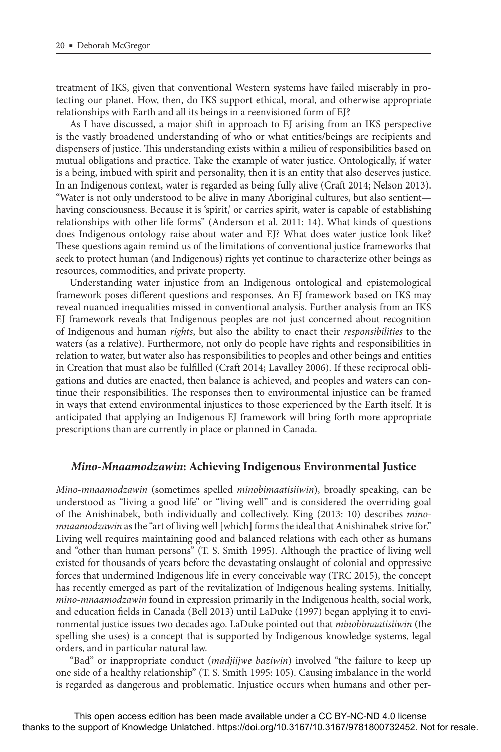treatment of IKS, given that conventional Western systems have failed miserably in protecting our planet. How, then, do IKS support ethical, moral, and otherwise appropriate relationships with Earth and all its beings in a reenvisioned form of EJ?

As I have discussed, a major shift in approach to EJ arising from an IKS perspective is the vastly broadened understanding of who or what entities/beings are recipients and dispensers of justice. This understanding exists within a milieu of responsibilities based on mutual obligations and practice. Take the example of water justice. Ontologically, if water is a being, imbued with spirit and personality, then it is an entity that also deserves justice. In an Indigenous context, water is regarded as being fully alive (Craft 2014; Nelson 2013). "Water is not only understood to be alive in many Aboriginal cultures, but also sentient having consciousness. Because it is 'spirit,' or carries spirit, water is capable of establishing relationships with other life forms" (Anderson et al. 2011: 14). What kinds of questions does Indigenous ontology raise about water and EJ? What does water justice look like? These questions again remind us of the limitations of conventional justice frameworks that seek to protect human (and Indigenous) rights yet continue to characterize other beings as resources, commodities, and private property.

Understanding water injustice from an Indigenous ontological and epistemological framework poses different questions and responses. An EJ framework based on IKS may reveal nuanced inequalities missed in conventional analysis. Further analysis from an IKS EJ framework reveals that Indigenous peoples are not just concerned about recognition of Indigenous and human *rights*, but also the ability to enact their *responsibilities* to the waters (as a relative). Furthermore, not only do people have rights and responsibilities in relation to water, but water also has responsibilities to peoples and other beings and entities in Creation that must also be fulfilled (Craft 2014; Lavalley 2006). If these reciprocal obligations and duties are enacted, then balance is achieved, and peoples and waters can continue their responsibilities. The responses then to environmental injustice can be framed in ways that extend environmental injustices to those experienced by the Earth itself. It is anticipated that applying an Indigenous EJ framework will bring forth more appropriate prescriptions than are currently in place or planned in Canada.

#### *Mino-Mnaamodzawin***: Achieving Indigenous Environmental Justice**

*Mino-mnaamodzawin* (sometimes spelled *minobimaatisiiwin*), broadly speaking, can be understood as "living a good life" or "living well" and is considered the overriding goal of the Anishinabek, both individually and collectively. King (2013: 10) describes *minomnaamodzawin* as the "art of living well [which] forms the ideal that Anishinabek strive for." Living well requires maintaining good and balanced relations with each other as humans and "other than human persons" (T. S. Smith 1995). Although the practice of living well existed for thousands of years before the devastating onslaught of colonial and oppressive forces that undermined Indigenous life in every conceivable way (TRC 2015), the concept has recently emerged as part of the revitalization of Indigenous healing systems. Initially, *mino-mnaamodzawin* found in expression primarily in the Indigenous health, social work, and education fields in Canada (Bell 2013) until LaDuke (1997) began applying it to environmental justice issues two decades ago. LaDuke pointed out that *minobimaatisiiwin* (the spelling she uses) is a concept that is supported by Indigenous knowledge systems, legal orders, and in particular natural law.

"Bad" or inappropriate conduct (*madjiijwe baziwin*) involved "the failure to keep up one side of a healthy relationship" (T. S. Smith 1995: 105). Causing imbalance in the world is regarded as dangerous and problematic. Injustice occurs when humans and other per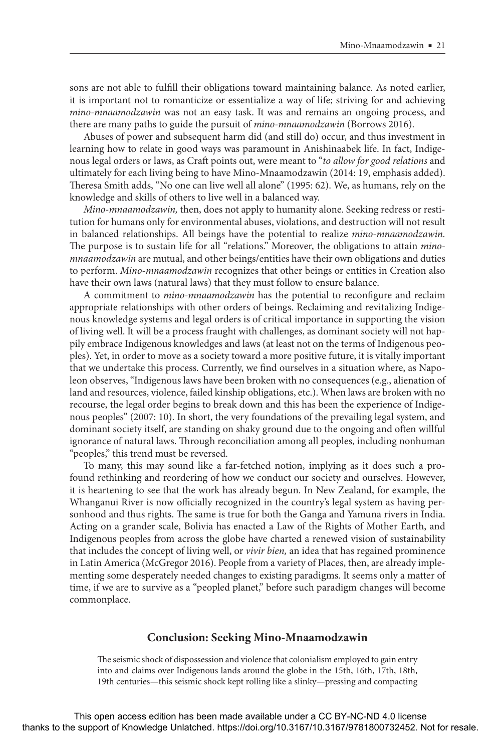sons are not able to fulfill their obligations toward maintaining balance. As noted earlier, it is important not to romanticize or essentialize a way of life; striving for and achieving *mino-mnaamodzawin* was not an easy task. It was and remains an ongoing process, and there are many paths to guide the pursuit of *mino-mnaamodzawin* (Borrows 2016).

Abuses of power and subsequent harm did (and still do) occur, and thus investment in learning how to relate in good ways was paramount in Anishinaabek life. In fact, Indigenous legal orders or laws, as Craft points out, were meant to "*to allow for good relations* and ultimately for each living being to have Mino-Mnaamodzawin (2014: 19, emphasis added). Theresa Smith adds, "No one can live well all alone" (1995: 62). We, as humans, rely on the knowledge and skills of others to live well in a balanced way.

*Mino-mnaamodzawin,* then, does not apply to humanity alone. Seeking redress or restitution for humans only for environmental abuses, violations, and destruction will not result in balanced relationships. All beings have the potential to realize *mino-mnaamodzawin.* The purpose is to sustain life for all "relations." Moreover, the obligations to attain *minomnaamodzawin* are mutual, and other beings/entities have their own obligations and duties to perform. *Mino-mnaamodzawin* recognizes that other beings or entities in Creation also have their own laws (natural laws) that they must follow to ensure balance.

A commitment to *mino-mnaamodzawin* has the potential to reconfigure and reclaim appropriate relationships with other orders of beings. Reclaiming and revitalizing Indigenous knowledge systems and legal orders is of critical importance in supporting the vision of living well. It will be a process fraught with challenges, as dominant society will not happily embrace Indigenous knowledges and laws (at least not on the terms of Indigenous peoples). Yet, in order to move as a society toward a more positive future, it is vitally important that we undertake this process. Currently, we find ourselves in a situation where, as Napoleon observes, "Indigenous laws have been broken with no consequences (e.g., alienation of land and resources, violence, failed kinship obligations, etc.). When laws are broken with no recourse, the legal order begins to break down and this has been the experience of Indigenous peoples" (2007: 10). In short, the very foundations of the prevailing legal system, and dominant society itself, are standing on shaky ground due to the ongoing and often willful ignorance of natural laws. Through reconciliation among all peoples, including nonhuman "peoples," this trend must be reversed.

To many, this may sound like a far-fetched notion, implying as it does such a profound rethinking and reordering of how we conduct our society and ourselves. However, it is heartening to see that the work has already begun. In New Zealand, for example, the Whanganui River is now officially recognized in the country's legal system as having personhood and thus rights. The same is true for both the Ganga and Yamuna rivers in India. Acting on a grander scale, Bolivia has enacted a Law of the Rights of Mother Earth, and Indigenous peoples from across the globe have charted a renewed vision of sustainability that includes the concept of living well, or *vivir bien,* an idea that has regained prominence in Latin America (McGregor 2016). People from a variety of Places, then, are already implementing some desperately needed changes to existing paradigms. It seems only a matter of time, if we are to survive as a "peopled planet," before such paradigm changes will become commonplace.

#### **Conclusion: Seeking Mino-Mnaamodzawin**

The seismic shock of dispossession and violence that colonialism employed to gain entry into and claims over Indigenous lands around the globe in the 15th, 16th, 17th, 18th, 19th centuries—this seismic shock kept rolling like a slinky—pressing and compacting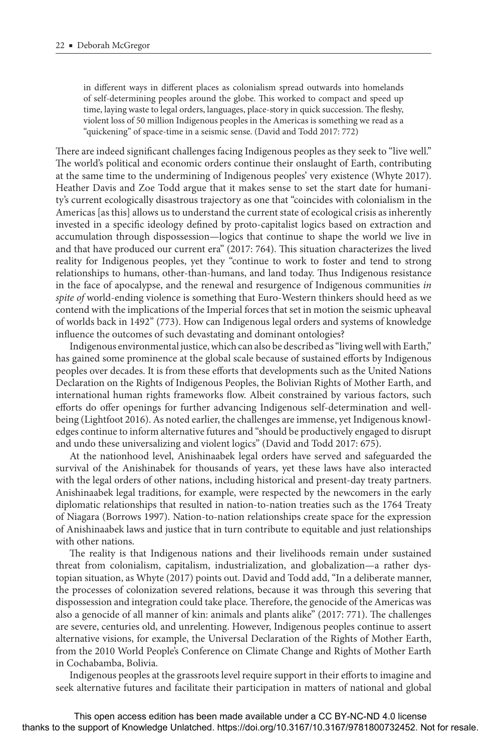in different ways in different places as colonialism spread outwards into homelands of self-determining peoples around the globe. This worked to compact and speed up time, laying waste to legal orders, languages, place-story in quick succession. The fleshy, violent loss of 50 million Indigenous peoples in the Americas is something we read as a "quickening" of space-time in a seismic sense. (David and Todd 2017: 772)

There are indeed significant challenges facing Indigenous peoples as they seek to "live well." The world's political and economic orders continue their onslaught of Earth, contributing at the same time to the undermining of Indigenous peoples' very existence (Whyte 2017). Heather Davis and Zoe Todd argue that it makes sense to set the start date for humanity's current ecologically disastrous trajectory as one that "coincides with colonialism in the Americas [as this] allows us to understand the current state of ecological crisis as inherently invested in a specific ideology defined by proto-capitalist logics based on extraction and accumulation through dispossession—logics that continue to shape the world we live in and that have produced our current era" (2017: 764). This situation characterizes the lived reality for Indigenous peoples, yet they "continue to work to foster and tend to strong relationships to humans, other-than-humans, and land today. Thus Indigenous resistance in the face of apocalypse, and the renewal and resurgence of Indigenous communities *in spite of* world-ending violence is something that Euro-Western thinkers should heed as we contend with the implications of the Imperial forces that set in motion the seismic upheaval of worlds back in 1492" (773). How can Indigenous legal orders and systems of knowledge influence the outcomes of such devastating and dominant ontologies?

Indigenous environmental justice, which can also be described as "living well with Earth," has gained some prominence at the global scale because of sustained efforts by Indigenous peoples over decades. It is from these efforts that developments such as the United Nations Declaration on the Rights of Indigenous Peoples, the Bolivian Rights of Mother Earth, and international human rights frameworks flow. Albeit constrained by various factors, such efforts do offer openings for further advancing Indigenous self-determination and wellbeing (Lightfoot 2016). As noted earlier, the challenges are immense, yet Indigenous knowledges continue to inform alternative futures and "should be productively engaged to disrupt and undo these universalizing and violent logics" (David and Todd 2017: 675).

At the nationhood level, Anishinaabek legal orders have served and safeguarded the survival of the Anishinabek for thousands of years, yet these laws have also interacted with the legal orders of other nations, including historical and present-day treaty partners. Anishinaabek legal traditions, for example, were respected by the newcomers in the early diplomatic relationships that resulted in nation-to-nation treaties such as the 1764 Treaty of Niagara (Borrows 1997). Nation-to-nation relationships create space for the expression of Anishinaabek laws and justice that in turn contribute to equitable and just relationships with other nations.

The reality is that Indigenous nations and their livelihoods remain under sustained threat from colonialism, capitalism, industrialization, and globalization—a rather dystopian situation, as Whyte (2017) points out. David and Todd add, "In a deliberate manner, the processes of colonization severed relations, because it was through this severing that dispossession and integration could take place. Therefore, the genocide of the Americas was also a genocide of all manner of kin: animals and plants alike" (2017: 771). The challenges are severe, centuries old, and unrelenting. However, Indigenous peoples continue to assert alternative visions, for example, the Universal Declaration of the Rights of Mother Earth, from the 2010 World People's Conference on Climate Change and Rights of Mother Earth in Cochabamba, Bolivia.

Indigenous peoples at the grassroots level require support in their efforts to imagine and seek alternative futures and facilitate their participation in matters of national and global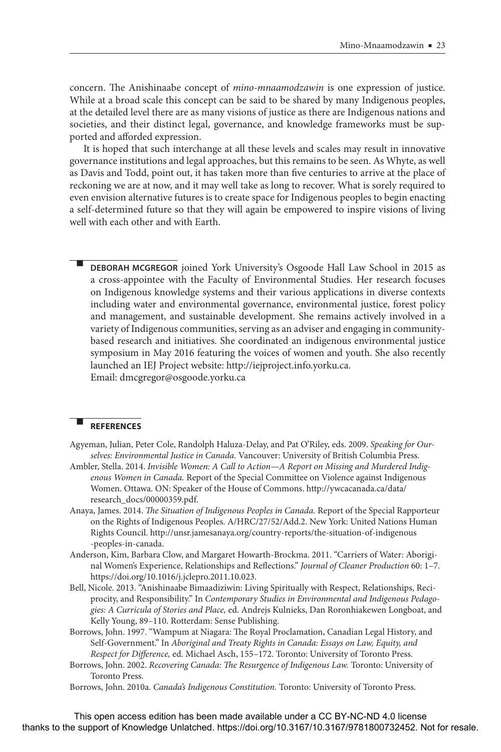concern. The Anishinaabe concept of *mino-mnaamodzawin* is one expression of justice. While at a broad scale this concept can be said to be shared by many Indigenous peoples, at the detailed level there are as many visions of justice as there are Indigenous nations and societies, and their distinct legal, governance, and knowledge frameworks must be supported and afforded expression.

It is hoped that such interchange at all these levels and scales may result in innovative governance institutions and legal approaches, but this remains to be seen. As Whyte, as well as Davis and Todd, point out, it has taken more than five centuries to arrive at the place of reckoning we are at now, and it may well take as long to recover. What is sorely required to even envision alternative futures is to create space for Indigenous peoples to begin enacting a self-determined future so that they will again be empowered to inspire visions of living well with each other and with Earth.

n **DEBORAH MCGREGOR** joined York University's Osgoode Hall Law School in 2015 as a cross-appointee with the Faculty of Environmental Studies. Her research focuses on Indigenous knowledge systems and their various applications in diverse contexts including water and environmental governance, environmental justice, forest policy and management, and sustainable development. She remains actively involved in a variety of Indigenous communities, serving as an adviser and engaging in communitybased research and initiatives. She coordinated an indigenous environmental justice symposium in May 2016 featuring the voices of women and youth. She also recently launched an IEJ Project website: http://iejproject.info.yorku.ca. Email: dmcgregor@osgoode.yorku.ca

### n **REFERENCES**

- Agyeman, Julian, Peter Cole, Randolph Haluza-Delay, and Pat O'Riley, eds. 2009. *Speaking for Ourselves: Environmental Justice in Canada.* Vancouver: University of British Columbia Press.
- Ambler, Stella. 2014. *Invisible Women: A Call to Action—A Report on Missing and Murdered Indigenous Women in Canada.* Report of the Special Committee on Violence against Indigenous Women. Ottawa. ON: Speaker of the House of Commons. http://ywcacanada.ca/data/ research\_docs/00000359.pdf.
- Anaya, James. 2014. *The Situation of Indigenous Peoples in Canada.* Report of the Special Rapporteur on the Rights of Indigenous Peoples. A/HRC/27/52/Add.2. New York: United Nations Human Rights Council. http://unsr.jamesanaya.org/country-reports/the-situation-of-indigenous -peoples-in-canada.
- Anderson, Kim, Barbara Clow, and Margaret Howarth-Brockma. 2011. "Carriers of Water: Aboriginal Women's Experience, Relationships and Reflections." *Journal of Cleaner Production* 60: 1–7. https://doi.org/10.1016/j.jclepro.2011.10.023.
- Bell, Nicole. 2013. "Anishinaabe Bimaadiziwin: Living Spiritually with Respect, Relationships, Reciprocity, and Responsibility." In *Contemporary Studies in Environmental and Indigenous Pedagogies: A Curricula of Stories and Place,* ed. Andrejs Kulnieks, Dan Roronhiakewen Longboat, and Kelly Young, 89–110. Rotterdam: Sense Publishing.
- Borrows, John. 1997. "Wampum at Niagara: The Royal Proclamation, Canadian Legal History, and Self-Government." In *Aboriginal and Treaty Rights in Canada: Essays on Law, Equity, and Respect for Difference,* ed. Michael Asch, 155–172. Toronto: University of Toronto Press.
- Borrows, John. 2002. *Recovering Canada: The Resurgence of Indigenous Law.* Toronto: University of Toronto Press.
- Borrows, John. 2010a. *Canada's Indigenous Constitution.* Toronto: University of Toronto Press.

This open access edition has been made available under a CC BY-NC-ND 4.0 license thanks to the support of Knowledge Unlatched. https://doi.org/10.3167/10.3167/9781800732452. Not for resale.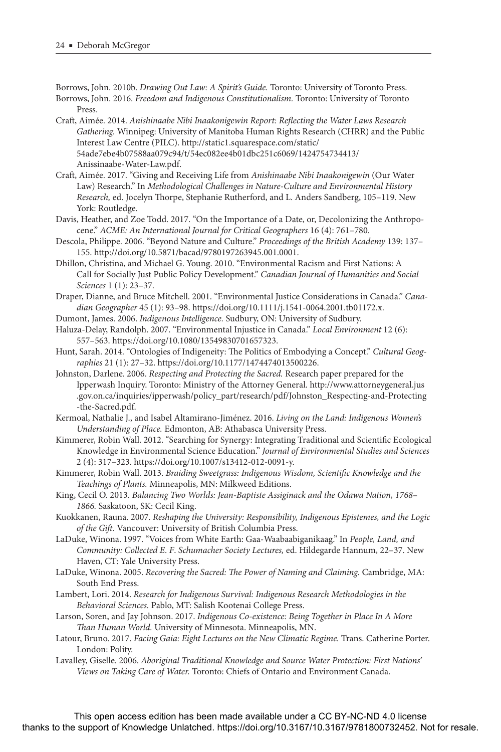Borrows, John. 2010b. *Drawing Out Law: A Spirit's Guide.* Toronto: University of Toronto Press.

- Borrows, John. 2016. *Freedom and Indigenous Constitutionalism.* Toronto: University of Toronto Press.
- Craft, Aimée. 2014. *Anishinaabe Nibi Inaakonigewin Report: Reflecting the Water Laws Research Gathering.* Winnipeg: University of Manitoba Human Rights Research (CHRR) and the Public Interest Law Centre (PILC). http://static1.squarespace.com/static/ 54ade7ebe4b07588aa079c94/t/54ec082ee4b01dbc251c6069/1424754734413/ Anissinaabe-Water-Law.pdf.
- Craft, Aimée. 2017. "Giving and Receiving Life from *Anishinaabe Nibi Inaakonigewin* (Our Water Law) Research." In *Methodological Challenges in Nature-Culture and Environmental History Research,* ed. Jocelyn Thorpe, Stephanie Rutherford, and L. Anders Sandberg, 105–119. New York: Routledge.
- Davis, Heather, and Zoe Todd. 2017. "On the Importance of a Date, or, Decolonizing the Anthropocene." *ACME: An International Journal for Critical Geographers* 16 (4): 761–780.
- Descola, Philippe. 2006. "Beyond Nature and Culture." *Proceedings of the British Academy* 139: 137– 155. http://doi.org/10.5871/bacad/9780197263945.001.0001.
- Dhillon, Christina, and Michael G. Young. 2010. "Environmental Racism and First Nations: A Call for Socially Just Public Policy Development." *Canadian Journal of Humanities and Social Sciences* 1 (1): 23–37.

Draper, Dianne, and Bruce Mitchell. 2001. "Environmental Justice Considerations in Canada." *Canadian Geographer* 45 (1): 93–98. https://doi.org/10.1111/j.1541-0064.2001.tb01172.x.

- Dumont, James. 2006. *Indigenous Intelligence.* Sudbury, ON: University of Sudbury.
- Haluza-Delay, Randolph. 2007. "Environmental Injustice in Canada." *Local Environment* 12 (6): 557–563. https://doi.org/10.1080/13549830701657323.
- Hunt, Sarah. 2014. "Ontologies of Indigeneity: The Politics of Embodying a Concept." *Cultural Geographies* 21 (1): 27–32. https://doi.org/10.1177/1474474013500226.
- Johnston, Darlene. 2006. *Respecting and Protecting the Sacred.* Research paper prepared for the Ipperwash Inquiry. Toronto: Ministry of the Attorney General. http://www.attorneygeneral.jus .gov.on.ca/inquiries/ipperwash/policy\_part/research/pdf/Johnston\_Respecting-and-Protecting -the-Sacred.pdf.
- Kermoal, Nathalie J., and Isabel Altamirano-Jiménez. 2016. *Living on the Land: Indigenous Women's Understanding of Place.* Edmonton, AB: Athabasca University Press.
- Kimmerer, Robin Wall. 2012. "Searching for Synergy: Integrating Traditional and Scientific Ecological Knowledge in Environmental Science Education." *Journal of Environmental Studies and Sciences*  2 (4): 317–323. https://doi.org/10.1007/s13412-012-0091-y.
- Kimmerer, Robin Wall. 2013. *Braiding Sweetgrass: Indigenous Wisdom, Scientific Knowledge and the Teachings of Plants.* Minneapolis, MN: Milkweed Editions.
- King, Cecil O. 2013. *Balancing Two Worlds: Jean-Baptiste Assiginack and the Odawa Nation, 1768– 1866.* Saskatoon, SK: Cecil King.
- Kuokkanen, Rauna. 2007. *Reshaping the University: Responsibility, Indigenous Epistemes, and the Logic of the Gift.* Vancouver: University of British Columbia Press.
- LaDuke, Winona. 1997. "Voices from White Earth: Gaa-Waabaabiganikaag." In *People, Land, and Community: Collected E*. *F*. *Schumacher Society Lectures,* ed. Hildegarde Hannum, 22–37. New Haven, CT: Yale University Press.
- LaDuke, Winona. 2005. *Recovering the Sacred: The Power of Naming and Claiming.* Cambridge, MA: South End Press.
- Lambert, Lori. 2014. *Research for Indigenous Survival: Indigenous Research Methodologies in the Behavioral Sciences.* Pablo, MT: Salish Kootenai College Press.

Larson, Soren, and Jay Johnson. 2017. *Indigenous Co-existence: Being Together in Place In A More Than Human World.* University of Minnesota. Minneapolis, MN.

- Latour, Bruno. 2017. *Facing Gaia: Eight Lectures on the New Climatic Regime.* Trans. Catherine Porter. London: Polity.
- Lavalley, Giselle. 2006. *Aboriginal Traditional Knowledge and Source Water Protection: First Nations' Views on Taking Care of Water.* Toronto: Chiefs of Ontario and Environment Canada.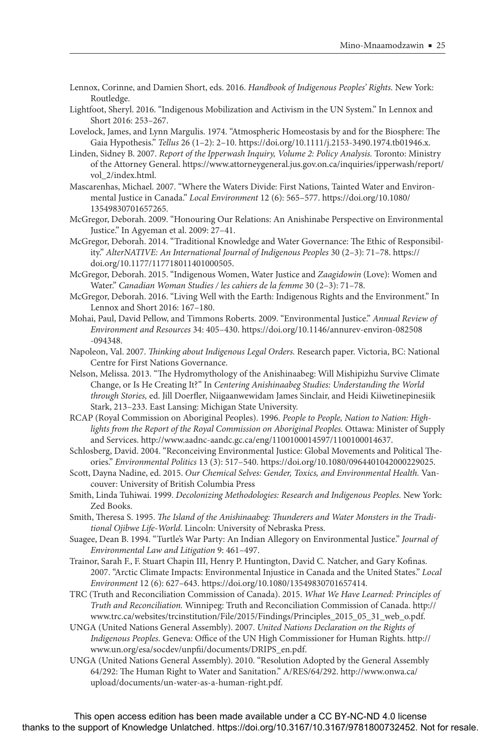- Lennox, Corinne, and Damien Short, eds. 2016. *Handbook of Indigenous Peoples' Rights.* New York: Routledge.
- Lightfoot, Sheryl. 2016. "Indigenous Mobilization and Activism in the UN System." In Lennox and Short 2016: 253–267.
- Lovelock, James, and Lynn Margulis. 1974. "Atmospheric Homeostasis by and for the Biosphere: The Gaia Hypothesis." *Tellus* 26 (1–2): 2–10. https://doi.org/10.1111/j.2153-3490.1974.tb01946.x.
- Linden, Sidney B. 2007. *Report of the Ipperwash Inquiry, Volume 2: Policy Analysis.* Toronto: Ministry of the Attorney General. https://www.attorneygeneral.jus.gov.on.ca/inquiries/ipperwash/report/ vol\_2/index.html.
- Mascarenhas, Michael. 2007. "Where the Waters Divide: First Nations, Tainted Water and Environmental Justice in Canada." *Local Environment* 12 (6): 565–577. https://doi.org/10.1080/ 13549830701657265.
- McGregor, Deborah. 2009. "Honouring Our Relations: An Anishinabe Perspective on Environmental Justice." In Agyeman et al. 2009: 27–41.
- McGregor, Deborah. 2014. "Traditional Knowledge and Water Governance: The Ethic of Responsibility." *AlterNATIVE: An International Journal of Indigenous Peoples* 30 (2–3): 71–78. https:// doi.org/10.1177/117718011401000505.
- McGregor, Deborah. 2015. "Indigenous Women, Water Justice and *Zaagidowin* (Love): Women and Water." *Canadian Woman Studies / les cahiers de la femme* 30 (2–3): 71–78.
- McGregor, Deborah. 2016. "Living Well with the Earth: Indigenous Rights and the Environment." In Lennox and Short 2016: 167–180.
- Mohai, Paul, David Pellow, and Timmons Roberts. 2009. "Environmental Justice." *Annual Review of Environment and Resources* 34: 405–430. https://doi.org/10.1146/annurev-environ-082508 -094348.
- Napoleon, Val. 2007. *Thinking about Indigenous Legal Orders.* Research paper. Victoria, BC: National Centre for First Nations Governance.
- Nelson, Melissa. 2013. "The Hydromythology of the Anishinaabeg: Will Mishipizhu Survive Climate Change, or Is He Creating It?" In *Centering Anishinaabeg Studies: Understanding the World through Stories,* ed. Jill Doerfler, Niigaanwewidam James Sinclair, and Heidi Kiiwetinepinesiik Stark, 213–233. East Lansing: Michigan State University.
- RCAP (Royal Commission on Aboriginal Peoples). 1996. *People to People, Nation to Nation: Highlights from the Report of the Royal Commission on Aboriginal Peoples.* Ottawa: Minister of Supply and Services. http://www.aadnc-aandc.gc.ca/eng/1100100014597/1100100014637.
- Schlosberg, David. 2004. "Reconceiving Environmental Justice: Global Movements and Political Theories." *Environmental Politics* 13 (3): 517–540. https://doi.org/10.1080/0964401042000229025.
- Scott, Dayna Nadine, ed. 2015. *Our Chemical Selves: Gender, Toxics, and Environmental Health.* Vancouver: University of British Columbia Press
- Smith, Linda Tuhiwai. 1999. *Decolonizing Methodologies: Research and Indigenous Peoples.* New York: Zed Books.
- Smith, Theresa S. 1995. *The Island of the Anishinaabeg: Thunderers and Water Monsters in the Traditional Ojibwe Life-World.* Lincoln: University of Nebraska Press.
- Suagee, Dean B. 1994. "Turtle's War Party: An Indian Allegory on Environmental Justice." *Journal of Environmental Law and Litigation* 9: 461–497.
- Trainor, Sarah F., F. Stuart Chapin III, Henry P. Huntington, David C. Natcher, and Gary Kofinas. 2007. "Arctic Climate Impacts: Environmental Injustice in Canada and the United States." *Local Environment* 12 (6): 627–643. https://doi.org/10.1080/13549830701657414.
- TRC (Truth and Reconciliation Commission of Canada). 2015. *What We Have Learned: Principles of Truth and Reconciliation.* Winnipeg: Truth and Reconciliation Commission of Canada. http:// www.trc.ca/websites/trcinstitution/File/2015/Findings/Principles\_2015\_05\_31\_web\_o.pdf.
- UNGA (United Nations General Assembly). 2007. *United Nations Declaration on the Rights of Indigenous Peoples.* Geneva: Office of the UN High Commissioner for Human Rights. http:// www.un.org/esa/socdev/unpfii/documents/DRIPS\_en.pdf.
- UNGA (United Nations General Assembly). 2010. "Resolution Adopted by the General Assembly 64/292: The Human Right to Water and Sanitation." A/RES/64/292. http://www.onwa.ca/ upload/documents/un-water-as-a-human-right.pdf.